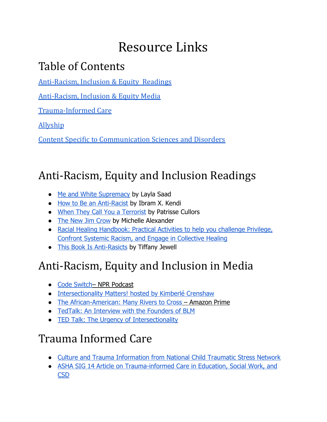# Resource Links

#### Table of Contents

[Anti-Racism,](#page-0-0) Inclusion & Equity Readings

[Anti-Racism,](#page-0-1) Inclusion & Equity Media

[Trauma-Informed](#page-0-2) Care

[Allyship](#page-1-0)

Content Specific to [Communication](#page-1-1) Sciences and Disorders

## <span id="page-0-0"></span>Anti-Racism, Equity and Inclusion Readings

- [Me and White Supremacy](https://www.meandwhitesupremacybook.com/) by Layla Saad
- [How to Be an Anti-Racist](https://www.ibramxkendi.com/how-to-be-an-antiracist-1) by Ibram X. Kendi
- [When They Call You a Terrorist](https://www.amazon.com/When-They-Call-You-Terrorist/dp/1250171083) by Patrisse Cullors
- [The New Jim Crow](https://newjimcrow.com/) by Michelle Alexander
- [Racial Healing Handbook: Practical Activities to help you challenge Privilege,](https://nmaahc.si.edu/sites/default/files/downloads/resources/racialhealinghandbook_p87to94.pdf)  [Confront Systemic Racism, and Engage in Collective Healing](https://nmaahc.si.edu/sites/default/files/downloads/resources/racialhealinghandbook_p87to94.pdf)
- This Book Is Anti-Rasicts by Tiffany Jewell

## <span id="page-0-1"></span>Anti-Racism, Equity and Inclusion in Media

- Code Switch-NPR Podcast
- [Intersectionality Matters! hosted by Kimberlé Crenshaw](https://podcasts.apple.com/us/podcast/intersectionality-matters/id1441348908)
- [The African-American: Many Rivers to Cross](https://www.amazon.com/African-Americans-Many-Rivers-Cross/dp/B00G9U4DDA?tag=insider-safetynet-20) Amazon Prime
- [TedTalk: An Interview with the Founders of BLM](https://www.ted.com/talks/alicia_garza_patrisse_cullors_and_opal_tometi_an_interview_with_the_founders_of_black_lives_matter?language=en)
- TED Talk: [The Urgency of Intersectionality](https://www.ted.com/talks/kimberle_crenshaw_the_urgency_of_intersectionality?language=en)

#### <span id="page-0-2"></span>Trauma Informed Care

- [Culture and Trauma Information from National Child Traumatic Stress Network](https://www.nctsn.org/trauma-informed-care/culture-and-trauma)
- [ASHA SIG 14 Article on Trauma-informed Care in Education, Social Work, and](https://www.asha.org/Events/live/09-25-2019-Trauma-Informed-Care/)  **[CSD](https://www.asha.org/Events/live/09-25-2019-Trauma-Informed-Care/)**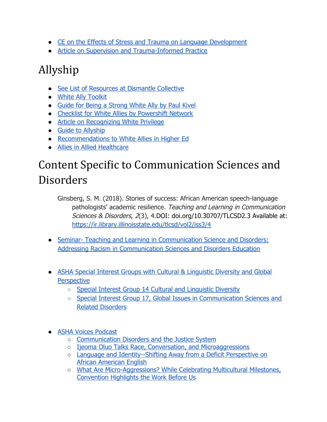- [CE on the Effects of Stress and Trauma on Language Development](https://www.speechpathology.com/slp-ceus/course/effects-stress-and-trauma-on-8940)
- [Article on Supervision and Trauma-Informed Practice](https://www.researchgate.net/profile/Laura_Quiros2/publication/320261014_The_intersection_of_identities_in_supervision_for_trauma-informed_practice_Challenges_and_strategies/links/5d29c2e1458515c11c2b700b/The-intersection-of-identities-in-supervision-for-trauma-informed-practice-Challenges-and-strategies.pdf)

#### <span id="page-1-0"></span>Allyship

- [See List of Resources at Dismantle Collective](https://www.dismantlecollective.org/resources/)
- [White Ally Toolkit](https://www.whiteallytoolkit.com/)
- Guide for Being a Strong White Ally by Paul Kivel
- [Checklist for White Allies by Powershift Network](https://www.powershift.org/resources/checklist-white-allies)
- [Article on Recognizing White Privilege](https://www.pdx.edu/multicultural-topics-communication-sciences-disorders/recognizing-white-privilege-first-steps-to-lessening-its-discriminatory-effects)
- [Guide to Allyship](https://guidetoallyship.com/)
- [Recommendations to White Allies in Higher Ed](https://www.insidehighered.com/advice/2020/06/10/recommendations-how-white-allies-can-truly-support-black-people-and-their)
- [Allies in Allied Healthcare](https://www.advancedtraveltherapy.com/allies-in-allied-healthcare-representation-in-therapy-materials/)

## <span id="page-1-1"></span>Content Specific to Communication Sciences and Disorders

- Ginsberg, S. M. (2018). Stories of success: African American speech-language pathologists' academic resilience. Teaching and Learning in Communication Sciences & Disorders, 2(3), 4.DOI: doi.org/10.30707/TLCSD2.3 Available at: <https://ir.library.illinoisstate.edu/tlcsd/vol2/iss3/4>
- Seminar- Teaching and Learning in Communication Science and Disorders: [Addressing Racism in Communication Sciences and Disorders Education](https://ir.library.illinoisstate.edu/tlcsd/addressing_racism_2020.html)
- ASHA Special Interest Groups with Cultural & Linguistic Diversity and Global **Perspective** 
	- Special Interest Group 14 Cultural and Linguistic Diversity
	- Special Interest Group 17, Global Issues in Communication Sciences and [Related Disorders](https://www.asha.org/SIG/17/About-SIG-17/#mission)
- ASHA Voices Podcast
	- [Communication Disorders and the Justice System](https://leader.pubs.asha.org/do/10.1044/asha-voices-cognitive-communication-disorders-and-the-justice-system/full/)
	- [Ijeoma Oluo Talks Race, Conversation, and Microaggressions](https://leader.pubs.asha.org/do/10.1044/asha-voices-ijeoma-oluo-talks-race-conversation-and-microaggressions/full/)
	- [Language and Identity--Shifting Away from a Deficit Perspective on](https://leader.pubs.asha.org/do/10.1044/asha-voices-language-and-identity-shifting-away-from-a-deficit-perspective-on-african-american-english/full/)  [African American English](https://leader.pubs.asha.org/do/10.1044/asha-voices-language-and-identity-shifting-away-from-a-deficit-perspective-on-african-american-english/full/)
	- [What Are Micro-Aggressions? While Celebrating Multicultural Milestones,](https://leader.pubs.asha.org/do/10.1044/what-are-micro-aggressions-while-celebrating-multicultural-milestones-convention-highlights-the-work-before-us/full/)  [Convention Highlights the Work Before Us](https://leader.pubs.asha.org/do/10.1044/what-are-micro-aggressions-while-celebrating-multicultural-milestones-convention-highlights-the-work-before-us/full/)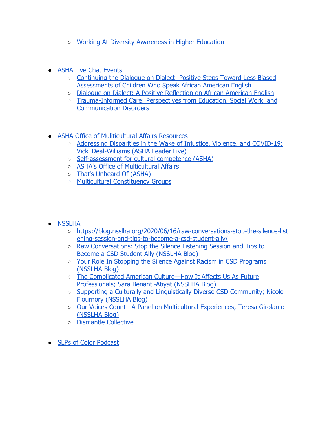- [Working At Diversity Awareness in Higher Education](https://blubrry.com/asha_voices/65853609/working-at-diversity-awareness-in-higher-education/)
- ASHA Live Chat Events
	- [Continuing the Dialogue on Dialect: Positive Steps Toward Less Biased](https://www.asha.org/Events/live/Continuing-the-Dialogue-on-Dialect/)  [Assessments of Children Who Speak African American English](https://www.asha.org/Events/live/Continuing-the-Dialogue-on-Dialect/)
	- [Dialogue on Dialect: A Positive Reflection on African American English](https://www.asha.org/Events/live/Dialogue-on-Dialect-A-Positive-Reflection-on-African-American-English/)
	- [Trauma-Informed Care: Perspectives from Education, Social Work, and](https://www.asha.org/Events/live/09-25-2019-Trauma-Informed-Care/)  [Communication Disorders](https://www.asha.org/Events/live/09-25-2019-Trauma-Informed-Care/)
- ASHA Office of Muliticultural Affairs Resources
	- [Addressing Disparities in the Wake of Injustice, Violence, and COVID-19 ;](https://leader.pubs.asha.org/do/10.1044/2020-0601-addressing-disparities-of-injustice/) Vicki Deal-Williams (ASHA Leader Live)
	- [Self-assessment for cultural competence](https://www.asha.org/practice/multicultural/self/) (ASHA)
	- [ASHA's Office of Multicultural Affairs](https://www.asha.org/practice/multicultural/)
	- [That's Unheard Of](https://www.thatsunheardof.org/) (ASHA)
	- [Multicultural Constituency Groups](https://www.asha.org/practice/multicultural/opportunities/constituency/)
- NSSLHA
	- [https://blog.nsslha.org/2020/06/16/raw-conversations-stop-the-silence-list](https://blog.nsslha.org/2020/06/16/raw-conversations-stop-the-silence-listening-session-and-tips-to-become-a-csd-student-ally/)  [ening-session-and-tips-to-become-a-csd-student-ally/](https://blog.nsslha.org/2020/06/16/raw-conversations-stop-the-silence-listening-session-and-tips-to-become-a-csd-student-ally/)
	- [Raw Conversations: Stop the Silence Listening Session and Tips to](https://blog.nsslha.org/2020/06/16/raw-conversations-stop-the-silence-listening-session-and-tips-to-become-a-csd-student-ally/)  [Become a CSD Student Ally](https://blog.nsslha.org/2020/06/16/raw-conversations-stop-the-silence-listening-session-and-tips-to-become-a-csd-student-ally/) (NSSLHA Blog)
	- [Your Role In Stopping the Silence Against Racism in CSD Programs](https://blog.nsslha.org/2020/06/09/your-role-in-stopping-the-silence-against-racism-in-csd-programs/)  (NSSLHA Blog)
	- [The Complicated American Culture—How It Affects Us As Future](https://blog.nsslha.org/2019/09/24/the-complicated-american-culture-how-it-affects-us-as-future-professionals/)  Professionals; Sara Benanti-Atiyat (NSSLHA Blog)
	- [Supporting a Culturally and Linguistically Diverse CSD Community](https://blog.nsslha.org/2020/01/28/supporting-a-culturally-and-linguistically-diverse-csd-community/) ; Nicole Flournory (NSSLHA Blog)
	- [Our Voices Count—A Panel on Multicultural Experiences](https://blog.nsslha.org/2018/05/01/voices-count-panel-multicultural-experiences-csd/); Teresa Girolamo (NSSLHA Blog)
	- [Dismantle Collective](https://www.dismantlecollective.org/)
- [SLPs of Color](https://www.stitcher.com/podcast/slps-of-color) Podcast